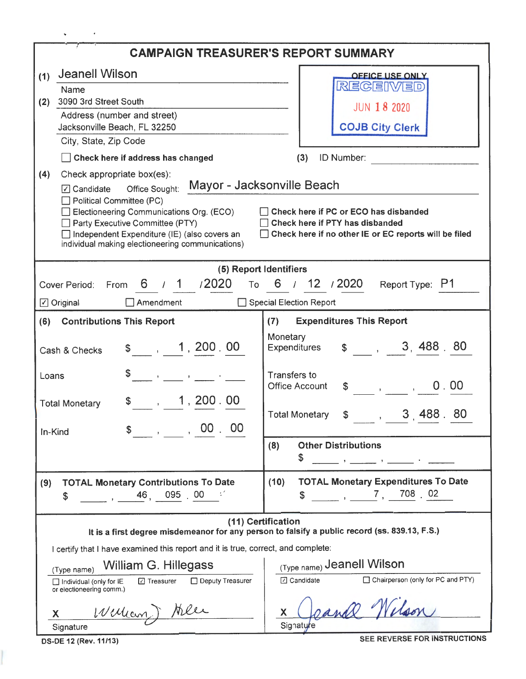| <b>Jeanell Wilson</b><br>(1)<br><b>OFFICE USE ONLY</b>                                                                                                                                                                                                                                                                                                                                                               |     |  |  |  |  |  |  |  |
|----------------------------------------------------------------------------------------------------------------------------------------------------------------------------------------------------------------------------------------------------------------------------------------------------------------------------------------------------------------------------------------------------------------------|-----|--|--|--|--|--|--|--|
| RECEIVED<br><b>Name</b><br>3090 3rd Street South<br>(2)                                                                                                                                                                                                                                                                                                                                                              |     |  |  |  |  |  |  |  |
| <b>JUN 18 2020</b><br>Address (number and street)                                                                                                                                                                                                                                                                                                                                                                    |     |  |  |  |  |  |  |  |
| <b>COJB City Clerk</b><br>Jacksonville Beach, FL 32250                                                                                                                                                                                                                                                                                                                                                               |     |  |  |  |  |  |  |  |
| City, State, Zip Code<br>ID Number:<br>Check here if address has changed<br>(3)                                                                                                                                                                                                                                                                                                                                      |     |  |  |  |  |  |  |  |
| Check appropriate box(es):<br>(4)                                                                                                                                                                                                                                                                                                                                                                                    |     |  |  |  |  |  |  |  |
| Mayor - Jacksonville Beach<br>$\Box$ Candidate<br>Office Sought:<br>Political Committee (PC)<br>Electioneering Communications Org. (ECO)<br>Check here if PC or ECO has disbanded<br>Check here if PTY has disbanded<br>Party Executive Committee (PTY)<br>Independent Expenditure (IE) (also covers an<br>Check here if no other IE or EC reports will be filed<br>individual making electioneering communications) |     |  |  |  |  |  |  |  |
| (5) Report Identifiers                                                                                                                                                                                                                                                                                                                                                                                               |     |  |  |  |  |  |  |  |
| 6 / 1 / 2020<br>6 / 12 / 2020<br>To<br>Report Type: P1<br>Cover Period:<br>From                                                                                                                                                                                                                                                                                                                                      |     |  |  |  |  |  |  |  |
| Special Election Report<br>$\Box$ Original<br>$\Box$ Amendment                                                                                                                                                                                                                                                                                                                                                       |     |  |  |  |  |  |  |  |
| <b>Expenditures This Report</b><br><b>Contributions This Report</b><br>(6)<br>(7)                                                                                                                                                                                                                                                                                                                                    |     |  |  |  |  |  |  |  |
| Monetary<br>3, 488, 80<br>$\frac{1}{2}$ , 1, 200, 00<br>$\mathbb{S}$<br><b>Expenditures</b><br>Cash & Checks                                                                                                                                                                                                                                                                                                         |     |  |  |  |  |  |  |  |
| Transfers to<br>Loans<br>$\mathcal{A}^{\mathcal{A}}$ , and $\mathcal{A}^{\mathcal{A}}$ , and $\mathcal{A}^{\mathcal{A}}$ , and $\mathcal{A}^{\mathcal{A}}$<br>0.00<br><b>Office Account</b><br>$\mathbb{S}^-$<br>$\mathbf{r} = \mathbf{r} \mathbf{r}$ and $\mathbf{r} = \mathbf{r} \mathbf{r}$                                                                                                                       |     |  |  |  |  |  |  |  |
| $\frac{1}{2}$ , 1, 200.00<br><b>Total Monetary</b><br>3,488.<br><b>Total Monetary</b><br>\$<br>$\mathbf{u}$ and $\mathbf{u}$                                                                                                                                                                                                                                                                                         | -80 |  |  |  |  |  |  |  |
| $\begin{array}{cccc} \begin{array}{cccc} \end{array} \end{array}$ , 00, 00<br>In-Kind<br><b>Other Distributions</b><br>(8)<br>\$                                                                                                                                                                                                                                                                                     |     |  |  |  |  |  |  |  |
|                                                                                                                                                                                                                                                                                                                                                                                                                      |     |  |  |  |  |  |  |  |
| <b>TOTAL Monetary Expenditures To Date</b><br>(10)<br><b>TOTAL Monetary Contributions To Date</b><br>(9)<br>$\frac{1}{2}$ , $\frac{7}{2}$ , $\frac{708}{2}$ , 02<br>S<br>\$                                                                                                                                                                                                                                          |     |  |  |  |  |  |  |  |
| (11) Certification<br>It is a first degree misdemeanor for any person to falsify a public record (ss. 839.13, F.S.)                                                                                                                                                                                                                                                                                                  |     |  |  |  |  |  |  |  |
| I certify that I have examined this report and it is true, correct, and complete:                                                                                                                                                                                                                                                                                                                                    |     |  |  |  |  |  |  |  |
| (Type name) Jeanell Wilson<br>William G. Hillegass<br>(Type name)                                                                                                                                                                                                                                                                                                                                                    |     |  |  |  |  |  |  |  |
| □ Chairperson (only for PC and PTY)<br><b>⊡</b> Candidate<br>□ Treasurer<br>Deputy Treasurer<br>Individual (only for IE<br>or electioneering comm.)                                                                                                                                                                                                                                                                  |     |  |  |  |  |  |  |  |
| zande 1<br>William ) Aller<br>X.<br>X                                                                                                                                                                                                                                                                                                                                                                                |     |  |  |  |  |  |  |  |
| Signature<br>Signature<br>SEE REVERSE FOR INSTRUCTIONS<br>DS-DE 12 (Rev. 11/13)                                                                                                                                                                                                                                                                                                                                      |     |  |  |  |  |  |  |  |

I

 $\mathbf{v} = \left\{ \begin{array}{ll} 0 & \mathbf{r} \in \mathbb{R}^d \times \mathbb{R}^d \end{array} \right.$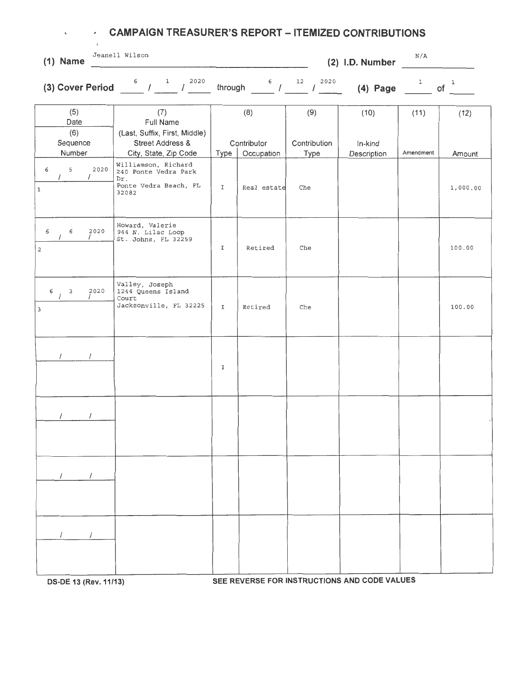| $\tilde{\phantom{a}}$<br>$\sim$ | ٠<br>$\epsilon$  | <b>CAMPAIGN TREASURER'S REPORT - ITEMIZED CONTRIBUTIONS</b>                          |             |                                        |                     |                                              |              |          |
|---------------------------------|------------------|--------------------------------------------------------------------------------------|-------------|----------------------------------------|---------------------|----------------------------------------------|--------------|----------|
| $(1)$ Name                      |                  | Jeanell Wilson                                                                       |             |                                        |                     | (2) I.D. Number                              | N/A          |          |
|                                 |                  | (3) Cover Period $\frac{6}{1}$ $\frac{1}{1}$ $\frac{2020}{1}$                        | through     | $\begin{array}{cc} 6 & 12 \end{array}$ | 2020<br>$\sqrt{2}$  | $(4)$ Page                                   | $\mathbf{1}$ | 1<br>οf  |
| (5)<br>Date<br>(6)<br>Sequence  |                  | (7)<br>Full Name<br>(Last, Suffix, First, Middle)<br><b>Street Address &amp;</b>     |             | (8)<br>Contributor                     | (9)<br>Contribution | (10)<br>In-kind                              | (11)         | (12)     |
| Number                          |                  | City, State, Zip Code                                                                | Type        | Occupation                             | Type                | Description                                  | Amendment    | Amount   |
| 5<br>6<br>$\,1$                 | 2020<br>$\prime$ | Williamson, Richard<br>240 Ponte Vedra Park<br>Dr.<br>Ponte Vedra Beach, FL<br>32082 | $\mathbf I$ | Real estate                            | Che                 |                                              |              | 1,000.00 |
| 6<br>6<br>$\overline{c}$        | 2020             | Howard, Valerie<br>944 N. Lilac Loop<br>St. Johns, FL 32259                          | I           | Retired                                | Che                 |                                              |              | 100.00   |
| 6<br>3<br>$\overline{3}$        | 2020             | Valley, Joseph<br>1244 Queens Island<br>Court<br>Jacksonville, FL 32225              | I           | Retired                                | Che                 |                                              |              | 100.00   |
| $\sqrt{2}$                      | $\prime$         |                                                                                      | I           |                                        |                     |                                              |              |          |
|                                 |                  |                                                                                      |             |                                        |                     |                                              |              |          |
|                                 |                  |                                                                                      |             |                                        |                     |                                              |              |          |
|                                 |                  |                                                                                      |             |                                        |                     | SEE BEVERSE FOR INGTRUCTIONS AND CODE VALUES |              |          |

**OS-DE 13 (Rev. 11/13) SEE REVERSE FOR INSTRUCTIONS AND CODE VALUES**